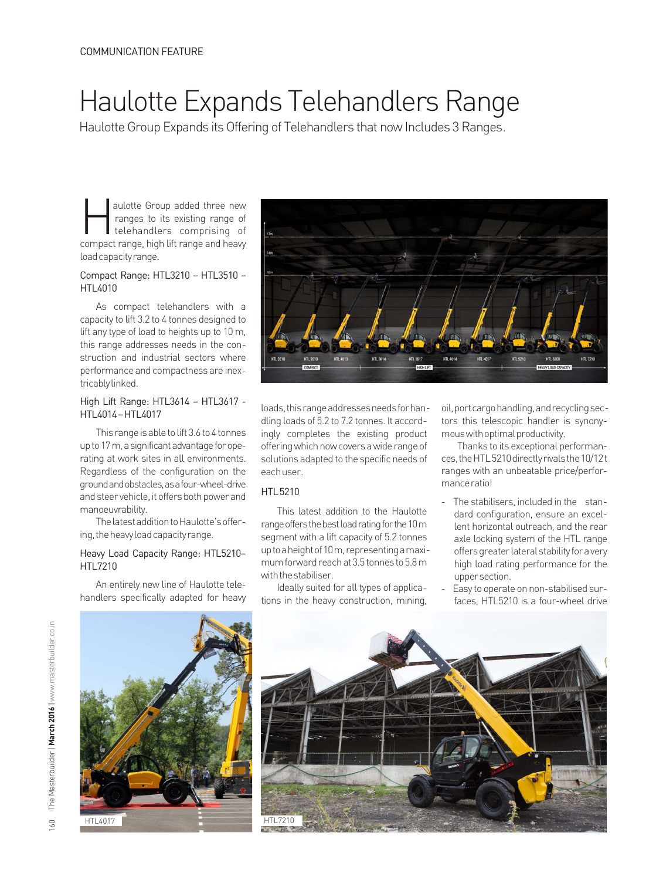# Haulotte Expands Telehandlers Range

Haulotte Group Expands its Offering of Telehandlers that now Includes 3 Ranges.

aulotte Group added three new ranges to its existing range of<br>telehandlers comprising of compact range, high lift range and heavy loadcapacityrange.

## Compact Range: HTL3210 – HTL3510 – HTL4010

As compact telehandlers with a capacity to lift 3.2 to 4 tonnes designed to lift any type of load to heights up to 10 m, this range addresses needs in the construction and industrial sectors where performance and compactness are inextricablylinked.

## High Lift Range: HTL3614 – HTL3617 - HTL4014–HTL4017

This range is able to lift 3.6 to 4 tonnes up to 17 m, a significant advantage for operating at work sites in all environments. Regardless of the configuration on the groundandobstacles,asafour-wheel-drive and steer vehicle, it offers both power and manoeuvrability.

The latest addition to Haulotte's offering, the heavy load capacity range.

#### Heavy Load Capacity Range: HTL5210– HTL7210

An entirely new line of Haulotte telehandlers specifically adapted for heavy



loads, this range addresses needs for handling loads of 5.2 to 7.2 tonnes. It accordingly completes the existing product offering which now covers a wide range of solutions adapted to the specific needs of eachuser.

### **HTL5210**

This latest addition to the Haulotte range offers the best load rating for the 10 m segment with a lift capacity of 5.2 tonnes uptoaheight of 10m, representing a maximum forward reach at 3.5 tonnes to 5.8 m with the stabiliser.

Ideally suited for all types of applications in the heavy construction, mining, oil,portcargohandling,andrecyclingsectors this telescopic handler is synonymouswithoptimalproductivity.

Thanks to its exceptional performances, the HTL 5210 directly rivals the 10/12t ranges with an unbeatable price/performanceratio!

- The stabilisers, included in the standard configuration, ensure an excellent horizontal outreach, and the rear axle locking system of the HTL range offers greater lateral stability for a very high load rating performance for the uppersection.
- Easy to operate on non-stabilised surfaces, HTL5210 is a four-wheel drive